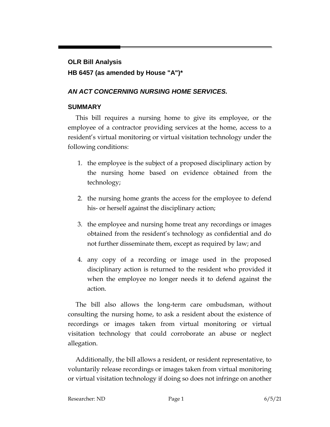## **OLR Bill Analysis HB 6457 (as amended by House "A")\***

## *AN ACT CONCERNING NURSING HOME SERVICES.*

## **SUMMARY**

This bill requires a nursing home to give its employee, or the employee of a contractor providing services at the home, access to a resident's virtual monitoring or virtual visitation technology under the following conditions:

- 1. the employee is the subject of a proposed disciplinary action by the nursing home based on evidence obtained from the technology;
- 2. the nursing home grants the access for the employee to defend his- or herself against the disciplinary action;
- 3. the employee and nursing home treat any recordings or images obtained from the resident's technology as confidential and do not further disseminate them, except as required by law; and
- 4. any copy of a recording or image used in the proposed disciplinary action is returned to the resident who provided it when the employee no longer needs it to defend against the action.

The bill also allows the long-term care ombudsman, without consulting the nursing home, to ask a resident about the existence of recordings or images taken from virtual monitoring or virtual visitation technology that could corroborate an abuse or neglect allegation.

Additionally, the bill allows a resident, or resident representative, to voluntarily release recordings or images taken from virtual monitoring or virtual visitation technology if doing so does not infringe on another